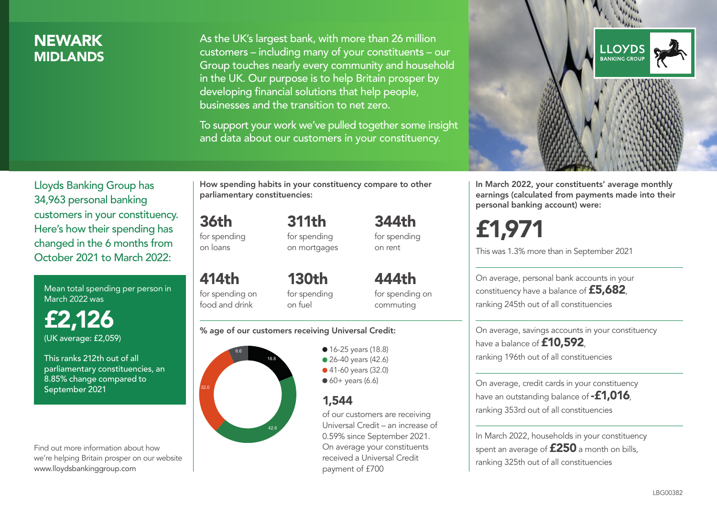## **NEWARK MIDI ANDS**

As the UK's largest bank, with more than 26 million customers – including many of your constituents – our Group touches nearly every community and household in the UK. Our purpose is to help Britain prosper by developing financial solutions that help people, businesses and the transition to net zero.

To support your work we've pulled together some insight and data about our customers in your constituency.



In March 2022, your constituents' average monthly earnings (calculated from payments made into their personal banking account) were:

£1,971

This was 1.3% more than in September 2021

On average, personal bank accounts in your constituency have a balance of £5,682, ranking 245th out of all constituencies

On average, savings accounts in your constituency have a balance of **£10,592** ranking 196th out of all constituencies

On average, credit cards in your constituency have an outstanding balance of **-£1,016**, ranking 353rd out of all constituencies

In March 2022, households in your constituency spent an average of  $£250$  a month on bills, ranking 325th out of all constituencies

Lloyds Banking Group has 34,963 personal banking customers in your constituency. Here's how their spending has changed in the 6 months from October 2021 to March 2022:

Mean total spending per person in March 2022 was

£2,126 (UK average: £2,059)

This ranks 212th out of all parliamentary constituencies, an 8.85% change compared to September 2021

Find out more information about how we're helping Britain prosper on our website www.lloydsbankinggroup.com

How spending habits in your constituency compare to other parliamentary constituencies:

for spending 311th

36th

on loans

414th

for spending on mortgages 344th for spending on rent

for spending on food and drink 130th for spending on fuel

444th for spending on commuting

#### % age of our customers receiving Universal Credit:



• 16-25 years (18.8) • 26-40 years (42.6)

● 41-60 years (32.0)  $60+$  years (6.6)

1,544

of our customers are receiving Universal Credit – an increase of 0.59% since September 2021. On average your constituents received a Universal Credit payment of £700